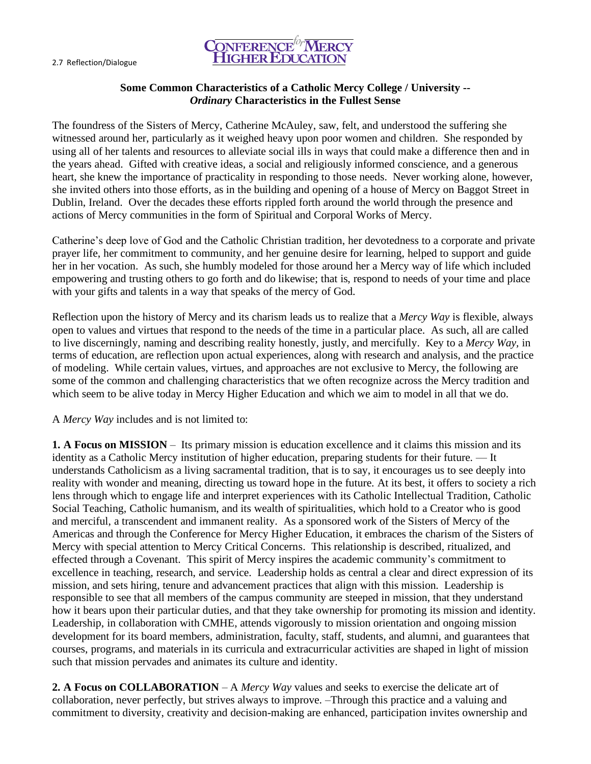

## **Some Common Characteristics of a Catholic Mercy College / University --** *Ordinary* **Characteristics in the Fullest Sense**

The foundress of the Sisters of Mercy, Catherine McAuley, saw, felt, and understood the suffering she witnessed around her, particularly as it weighed heavy upon poor women and children. She responded by using all of her talents and resources to alleviate social ills in ways that could make a difference then and in the years ahead. Gifted with creative ideas, a social and religiously informed conscience, and a generous heart, she knew the importance of practicality in responding to those needs. Never working alone, however, she invited others into those efforts, as in the building and opening of a house of Mercy on Baggot Street in Dublin, Ireland. Over the decades these efforts rippled forth around the world through the presence and actions of Mercy communities in the form of Spiritual and Corporal Works of Mercy.

Catherine's deep love of God and the Catholic Christian tradition, her devotedness to a corporate and private prayer life, her commitment to community, and her genuine desire for learning, helped to support and guide her in her vocation. As such, she humbly modeled for those around her a Mercy way of life which included empowering and trusting others to go forth and do likewise; that is, respond to needs of your time and place with your gifts and talents in a way that speaks of the mercy of God.

Reflection upon the history of Mercy and its charism leads us to realize that a *Mercy Way* is flexible, always open to values and virtues that respond to the needs of the time in a particular place. As such, all are called to live discerningly, naming and describing reality honestly, justly, and mercifully. Key to a *Mercy Way,* in terms of education, are reflection upon actual experiences, along with research and analysis, and the practice of modeling. While certain values, virtues, and approaches are not exclusive to Mercy, the following are some of the common and challenging characteristics that we often recognize across the Mercy tradition and which seem to be alive today in Mercy Higher Education and which we aim to model in all that we do.

A *Mercy Way* includes and is not limited to:

**1. A Focus on MISSION** – Its primary mission is education excellence and it claims this mission and its identity as a Catholic Mercy institution of higher education, preparing students for their future. — It understands Catholicism as a living sacramental tradition, that is to say, it encourages us to see deeply into reality with wonder and meaning, directing us toward hope in the future. At its best, it offers to society a rich lens through which to engage life and interpret experiences with its Catholic Intellectual Tradition, Catholic Social Teaching, Catholic humanism, and its wealth of spiritualities, which hold to a Creator who is good and merciful, a transcendent and immanent reality. As a sponsored work of the Sisters of Mercy of the Americas and through the Conference for Mercy Higher Education, it embraces the charism of the Sisters of Mercy with special attention to Mercy Critical Concerns. This relationship is described, ritualized, and effected through a Covenant. This spirit of Mercy inspires the academic community's commitment to excellence in teaching, research, and service. Leadership holds as central a clear and direct expression of its mission, and sets hiring, tenure and advancement practices that align with this mission. Leadership is responsible to see that all members of the campus community are steeped in mission, that they understand how it bears upon their particular duties, and that they take ownership for promoting its mission and identity. Leadership, in collaboration with CMHE, attends vigorously to mission orientation and ongoing mission development for its board members, administration, faculty, staff, students, and alumni, and guarantees that courses, programs, and materials in its curricula and extracurricular activities are shaped in light of mission such that mission pervades and animates its culture and identity.

**2. A Focus on COLLABORATION** – A *Mercy Way* values and seeks to exercise the delicate art of collaboration, never perfectly, but strives always to improve. –Through this practice and a valuing and commitment to diversity, creativity and decision-making are enhanced, participation invites ownership and